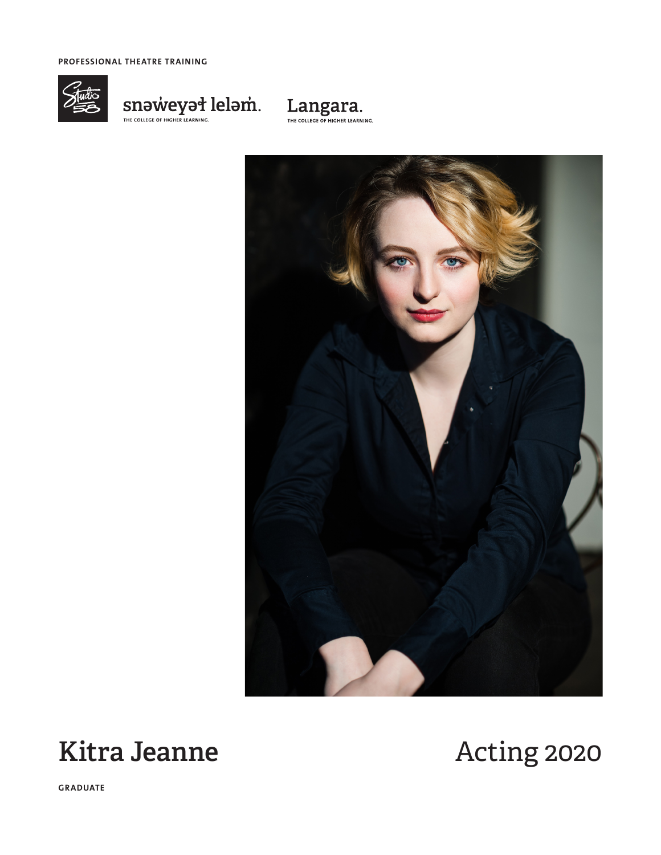PROFESSIONAL THEATRE TRAINING







## **Kitra Jeanne**

# Acting 2020

**GRADUATE**